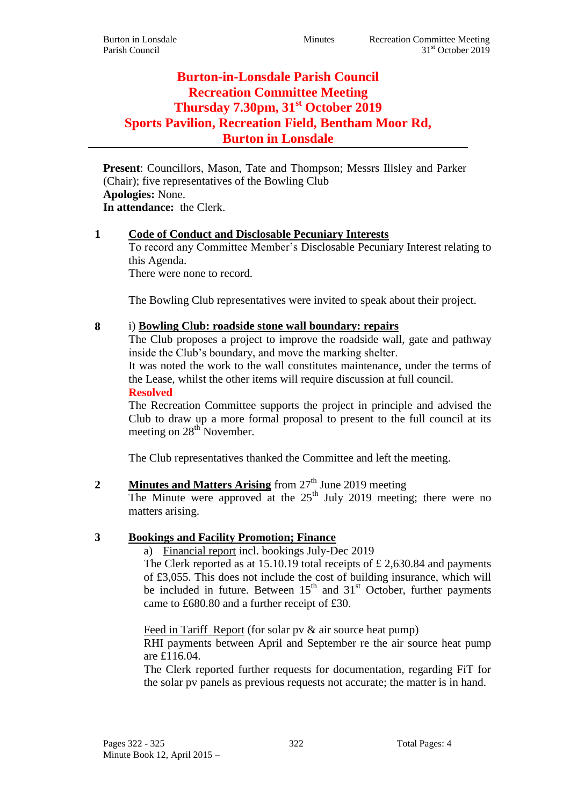# **Burton-in-Lonsdale Parish Council Recreation Committee Meeting Thursday 7.30pm, 31st October 2019 Sports Pavilion, Recreation Field, Bentham Moor Rd, Burton in Lonsdale**

**Present**: Councillors, Mason, Tate and Thompson; Messrs Illsley and Parker (Chair); five representatives of the Bowling Club **Apologies:** None. **In attendance:** the Clerk.

# **1 Code of Conduct and Disclosable Pecuniary Interests**

To record any Committee Member's Disclosable Pecuniary Interest relating to this Agenda.

There were none to record.

The Bowling Club representatives were invited to speak about their project.

### **8** i) **Bowling Club: roadside stone wall boundary: repairs**

The Club proposes a project to improve the roadside wall, gate and pathway inside the Club's boundary, and move the marking shelter.

It was noted the work to the wall constitutes maintenance, under the terms of the Lease, whilst the other items will require discussion at full council.

**Resolved**

The Recreation Committee supports the project in principle and advised the Club to draw up a more formal proposal to present to the full council at its meeting on 28<sup>th</sup> November.

The Club representatives thanked the Committee and left the meeting.

# **2 Minutes and Matters Arising** from 27<sup>th</sup> June 2019 meeting

The Minute were approved at the  $25<sup>th</sup>$  July 2019 meeting; there were no matters arising.

# **3 Bookings and Facility Promotion; Finance**

a) Financial report incl. bookings July-Dec 2019

The Clerk reported as at 15.10.19 total receipts of £ 2,630.84 and payments of £3,055. This does not include the cost of building insurance, which will be included in future. Between  $15<sup>th</sup>$  and  $31<sup>st</sup>$  October, further payments came to £680.80 and a further receipt of £30.

Feed in Tariff Report (for solar pv & air source heat pump) RHI payments between April and September re the air source heat pump

are £116.04.

The Clerk reported further requests for documentation, regarding FiT for the solar pv panels as previous requests not accurate; the matter is in hand.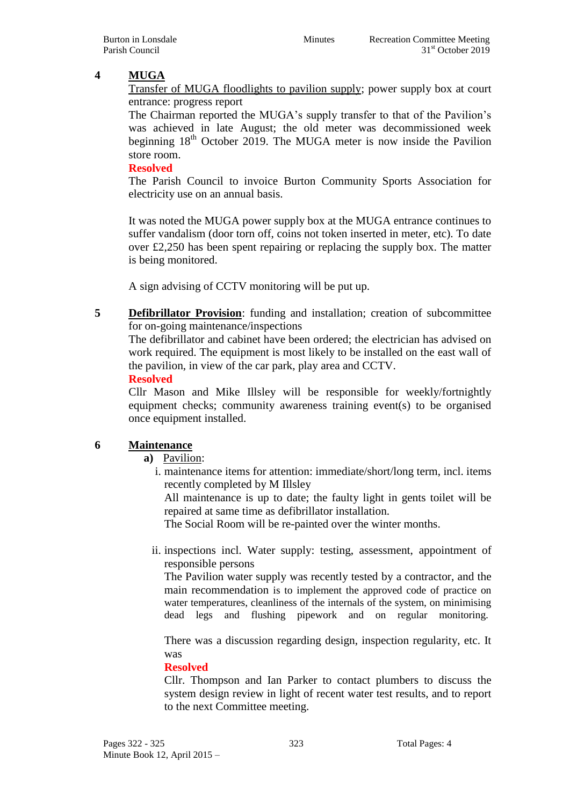# **4 MUGA**

Transfer of MUGA floodlights to pavilion supply; power supply box at court entrance: progress report

The Chairman reported the MUGA's supply transfer to that of the Pavilion's was achieved in late August; the old meter was decommissioned week beginning  $18<sup>th</sup>$  October 2019. The MUGA meter is now inside the Pavilion store room.

### **Resolved**

The Parish Council to invoice Burton Community Sports Association for electricity use on an annual basis.

It was noted the MUGA power supply box at the MUGA entrance continues to suffer vandalism (door torn off, coins not token inserted in meter, etc). To date over £2,250 has been spent repairing or replacing the supply box. The matter is being monitored.

A sign advising of CCTV monitoring will be put up.

**5 Defibrillator Provision**: funding and installation; creation of subcommittee for on-going maintenance/inspections

The defibrillator and cabinet have been ordered; the electrician has advised on work required. The equipment is most likely to be installed on the east wall of the pavilion, in view of the car park, play area and CCTV.

#### **Resolved**

Cllr Mason and Mike Illsley will be responsible for weekly/fortnightly equipment checks; community awareness training event(s) to be organised once equipment installed.

# **6 Maintenance**

**a)** Pavilion:

i. maintenance items for attention: immediate/short/long term, incl. items recently completed by M Illsley

All maintenance is up to date; the faulty light in gents toilet will be repaired at same time as defibrillator installation.

The Social Room will be re-painted over the winter months.

ii. inspections incl. Water supply: testing, assessment, appointment of responsible persons

The Pavilion water supply was recently tested by a contractor, and the main recommendation is to implement the approved code of practice on water temperatures, cleanliness of the internals of the system, on minimising dead legs and flushing pipework and on regular monitoring.

There was a discussion regarding design, inspection regularity, etc. It was

#### **Resolved**

Cllr. Thompson and Ian Parker to contact plumbers to discuss the system design review in light of recent water test results, and to report to the next Committee meeting.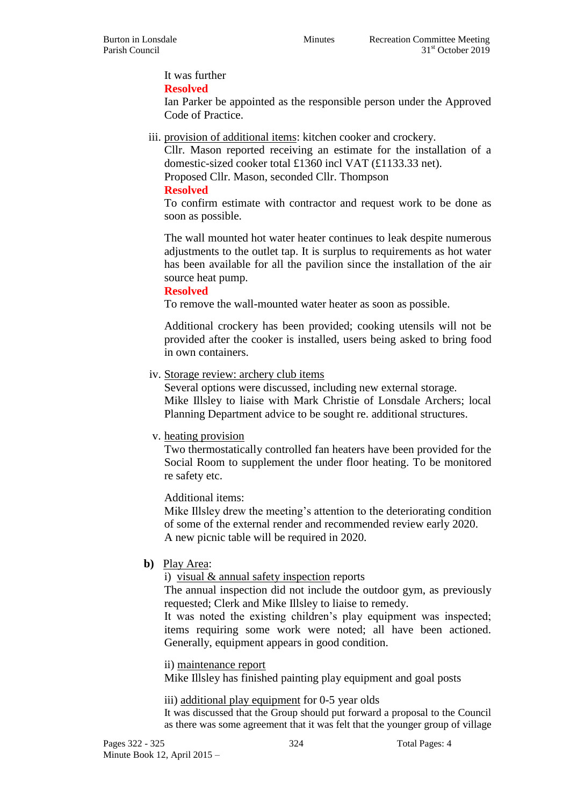It was further

**Resolved**

Ian Parker be appointed as the responsible person under the Approved Code of Practice.

iii. provision of additional items: kitchen cooker and crockery.

Cllr. Mason reported receiving an estimate for the installation of a domestic-sized cooker total £1360 incl VAT (£1133.33 net).

Proposed Cllr. Mason, seconded Cllr. Thompson

### **Resolved**

To confirm estimate with contractor and request work to be done as soon as possible.

The wall mounted hot water heater continues to leak despite numerous adjustments to the outlet tap. It is surplus to requirements as hot water has been available for all the pavilion since the installation of the air source heat pump.

### **Resolved**

To remove the wall-mounted water heater as soon as possible.

Additional crockery has been provided; cooking utensils will not be provided after the cooker is installed, users being asked to bring food in own containers.

# iv. Storage review: archery club items

Several options were discussed, including new external storage. Mike Illsley to liaise with Mark Christie of Lonsdale Archers; local Planning Department advice to be sought re. additional structures.

# v. heating provision

Two thermostatically controlled fan heaters have been provided for the Social Room to supplement the under floor heating. To be monitored re safety etc.

# Additional items:

Mike Illsley drew the meeting's attention to the deteriorating condition of some of the external render and recommended review early 2020. A new picnic table will be required in 2020.

# **b)** Play Area:

i) visual & annual safety inspection reports

The annual inspection did not include the outdoor gym, as previously requested; Clerk and Mike Illsley to liaise to remedy.

It was noted the existing children's play equipment was inspected; items requiring some work were noted; all have been actioned. Generally, equipment appears in good condition.

ii) maintenance report

Mike Illsley has finished painting play equipment and goal posts

#### iii) additional play equipment for 0-5 year olds

It was discussed that the Group should put forward a proposal to the Council as there was some agreement that it was felt that the younger group of village